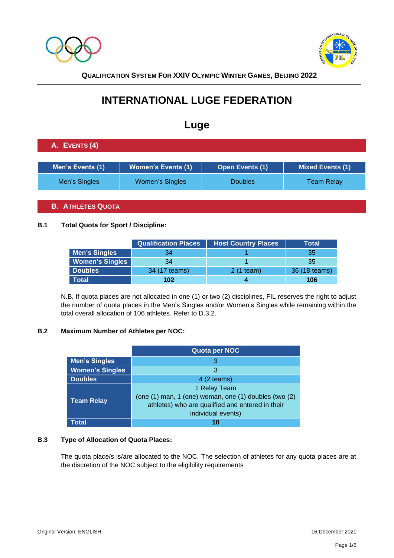



# **INTERNATIONAL LUGE FEDERATION**

## **Luge**

## **A. EVENTS (4)**

| Men's Events (1) | <b>Women's Events (1)</b> | <b>Open Events (1)</b> | <b>Mixed Events (1)</b> |
|------------------|---------------------------|------------------------|-------------------------|
| Men's Singles    | Women's Singles           | <b>Doubles</b>         | <b>Team Relay</b>       |

## **B. ATHLETES QUOTA**

#### **B.1 Total Quota for Sport / Discipline:**

|                        | <b>Qualification Places</b> | <b>Host Country Places</b> | Total         |
|------------------------|-----------------------------|----------------------------|---------------|
| <b>Men's Singles</b>   | 34                          |                            | 35            |
| <b>Women's Singles</b> | 34                          |                            | 35            |
| <b>Doubles</b>         | 34 (17 teams)               | 2 (1 team)                 | 36 (18 teams) |
| Total                  | 102                         |                            | 106           |

N.B. If quota places are not allocated in one (1) or two (2) disciplines, FIL reserves the right to adjust the number of quota places in the Men's Singles and/or Women's Singles while remaining within the total overall allocation of 106 athletes. Refer to D.3.2.

## **B.2 Maximum Number of Athletes per NOC:**

|                        | Quota per NOC                                                                                                                                   |  |  |
|------------------------|-------------------------------------------------------------------------------------------------------------------------------------------------|--|--|
| <b>Men's Singles</b>   | 3                                                                                                                                               |  |  |
| <b>Women's Singles</b> | 3                                                                                                                                               |  |  |
| <b>Doubles</b>         | $4(2$ teams)                                                                                                                                    |  |  |
| <b>Team Relay</b>      | 1 Relay Team<br>(one (1) man, 1 (one) woman, one (1) doubles (two (2)<br>athletes) who are qualified and entered in their<br>individual events) |  |  |
| Total                  |                                                                                                                                                 |  |  |

#### **B.3 Type of Allocation of Quota Places:**

The quota place/s is/are allocated to the NOC. The selection of athletes for any quota places are at the discretion of the NOC subject to the eligibility requirements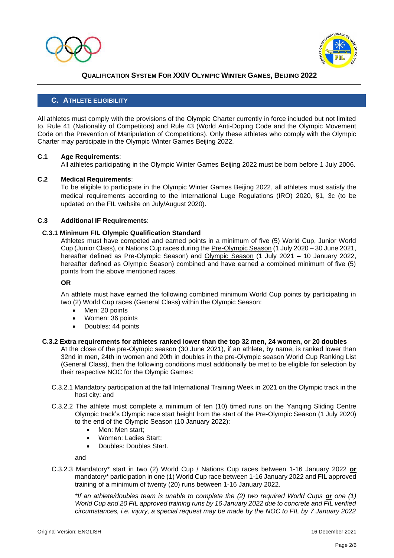



#### **C. ATHLETE ELIGIBILITY**

All athletes must comply with the provisions of the Olympic Charter currently in force included but not limited to, Rule 41 (Nationality of Competitors) and Rule 43 (World Anti-Doping Code and the Olympic Movement Code on the Prevention of Manipulation of Competitions). Only these athletes who comply with the Olympic Charter may participate in the Olympic Winter Games Beijing 2022.

#### **C.1 Age Requirements**:

All athletes participating in the Olympic Winter Games Beijing 2022 must be born before 1 July 2006.

#### **C.2 Medical Requirements**:

To be eligible to participate in the Olympic Winter Games Beijing 2022, all athletes must satisfy the medical requirements according to the International Luge Regulations (IRO) 2020, §1, 3c (to be updated on the FIL website on July/August 2020).

#### **C.3 Additional IF Requirements**:

#### **C.3.1 Minimum FIL Olympic Qualification Standard**

Athletes must have competed and earned points in a minimum of five (5) World Cup, Junior World Cup (Junior Class), or Nations Cup races during the Pre-Olympic Season (1 July 2020 – 30 June 2021, hereafter defined as Pre-Olympic Season) and Olympic Season (1 July 2021 - 10 January 2022, hereafter defined as Olympic Season) combined and have earned a combined minimum of five (5) points from the above mentioned races.

#### **OR**

An athlete must have earned the following combined minimum World Cup points by participating in two (2) World Cup races (General Class) within the Olympic Season:

- Men: 20 points
- Women: 36 points
- Doubles: 44 points

#### **C.3.2 Extra requirements for athletes ranked lower than the top 32 men, 24 women, or 20 doubles**

At the close of the pre-Olympic season (30 June 2021), if an athlete, by name, is ranked lower than 32nd in men, 24th in women and 20th in doubles in the pre-Olympic season World Cup Ranking List (General Class), then the following conditions must additionally be met to be eligible for selection by their respective NOC for the Olympic Games:

- C.3.2.1 Mandatory participation at the fall International Training Week in 2021 on the Olympic track in the host city; and
- C.3.2.2 The athlete must complete a minimum of ten (10) timed runs on the Yanqing Sliding Centre Olympic track's Olympic race start height from the start of the Pre-Olympic Season (1 July 2020) to the end of the Olympic Season (10 January 2022):
	- Men: Men start:
	- Women: Ladies Start;
	- Doubles: Doubles Start.

and

C.3.2.3 Mandatory\* start in two (2) World Cup / Nations Cup races between 1-16 January 2022 **or**  mandatory\* participation in one (1) World Cup race between 1-16 January 2022 and FIL approved training of a minimum of twenty (20) runs between 1-16 January 2022.

*\*If an athlete/doubles team is unable to complete the (2) two required World Cups or one (1) World Cup and 20 FIL approved training runs by 16 January 2022 due to concrete and FIL verified circumstances, i.e. injury, a special request may be made by the NOC to FIL by 7 January 2022*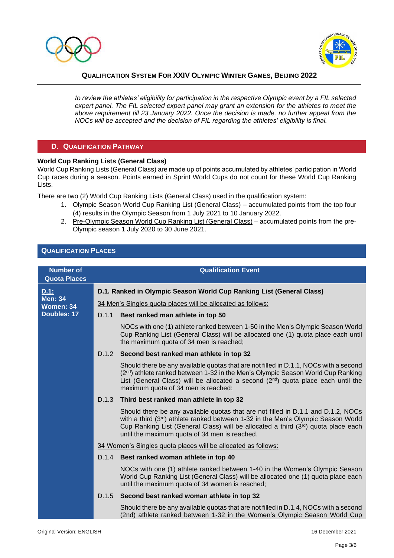



*to review the athletes' eligibility for participation in the respective Olympic event by a FIL selected expert panel. The FIL selected expert panel may grant an extension for the athletes to meet the above requirement till 23 January 2022. Once the decision is made, no further appeal from the NOCs will be accepted and the decision of FIL regarding the athletes' eligibility is final.*

#### **D. QUALIFICATION PATHWAY**

#### **World Cup Ranking Lists (General Class)**

World Cup Ranking Lists (General Class) are made up of points accumulated by athletes' participation in World Cup races during a season. Points earned in Sprint World Cups do not count for these World Cup Ranking Lists.

There are two (2) World Cup Ranking Lists (General Class) used in the qualification system:

- 1. Olympic Season World Cup Ranking List (General Class) accumulated points from the top four (4) results in the Olympic Season from 1 July 2021 to 10 January 2022.
- 2. Pre-Olympic Season World Cup Ranking List (General Class) accumulated points from the pre-Olympic season 1 July 2020 to 30 June 2021.

#### **QUALIFICATION PLACES**

| <b>Number of</b><br><b>Quota Places</b> |                                                             | <b>Qualification Event</b>                                                                                                                                                                                                                                                                                       |
|-----------------------------------------|-------------------------------------------------------------|------------------------------------------------------------------------------------------------------------------------------------------------------------------------------------------------------------------------------------------------------------------------------------------------------------------|
| D.1:<br><b>Men: 34</b><br>Women: 34     |                                                             | D.1. Ranked in Olympic Season World Cup Ranking List (General Class)                                                                                                                                                                                                                                             |
|                                         | 34 Men's Singles quota places will be allocated as follows: |                                                                                                                                                                                                                                                                                                                  |
| <b>Doubles: 17</b>                      | D.1.1                                                       | Best ranked man athlete in top 50                                                                                                                                                                                                                                                                                |
|                                         |                                                             | NOCs with one (1) athlete ranked between 1-50 in the Men's Olympic Season World<br>Cup Ranking List (General Class) will be allocated one (1) quota place each until<br>the maximum quota of 34 men is reached;                                                                                                  |
|                                         | D.1.2                                                       | Second best ranked man athlete in top 32                                                                                                                                                                                                                                                                         |
|                                         |                                                             | Should there be any available quotas that are not filled in D.1.1, NOCs with a second<br>(2 <sup>nd</sup> ) athlete ranked between 1-32 in the Men's Olympic Season World Cup Ranking<br>List (General Class) will be allocated a second (2nd) quota place each until the<br>maximum quota of 34 men is reached; |
|                                         | D.1.3                                                       | Third best ranked man athlete in top 32                                                                                                                                                                                                                                                                          |
|                                         |                                                             | Should there be any available quotas that are not filled in D.1.1 and D.1.2, NOCs<br>with a third (3rd) athlete ranked between 1-32 in the Men's Olympic Season World<br>Cup Ranking List (General Class) will be allocated a third (3rd) quota place each<br>until the maximum quota of 34 men is reached.      |
|                                         |                                                             | 34 Women's Singles quota places will be allocated as follows:                                                                                                                                                                                                                                                    |
|                                         | D.1.4                                                       | Best ranked woman athlete in top 40                                                                                                                                                                                                                                                                              |
|                                         |                                                             | NOCs with one (1) athlete ranked between 1-40 in the Women's Olympic Season<br>World Cup Ranking List (General Class) will be allocated one (1) quota place each<br>until the maximum quota of 34 women is reached;                                                                                              |
|                                         | D.1.5                                                       | Second best ranked woman athlete in top 32                                                                                                                                                                                                                                                                       |
|                                         |                                                             | Should there be any available quotas that are not filled in D.1.4, NOCs with a second<br>(2nd) athlete ranked between 1-32 in the Women's Olympic Season World Cup                                                                                                                                               |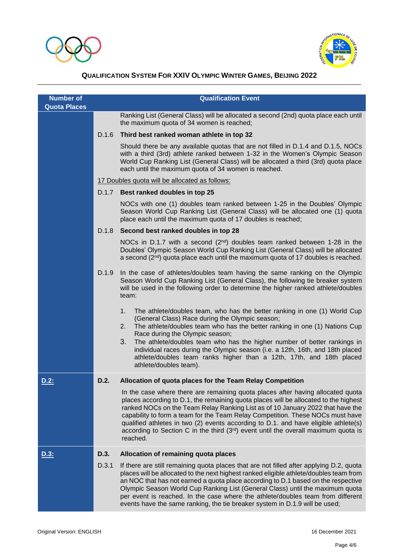



| <b>Number of</b><br><b>Quota Places</b> |       | <b>Qualification Event</b>                                                                                                                                                                                                                                                                                                                                                                                                                                                                                                             |
|-----------------------------------------|-------|----------------------------------------------------------------------------------------------------------------------------------------------------------------------------------------------------------------------------------------------------------------------------------------------------------------------------------------------------------------------------------------------------------------------------------------------------------------------------------------------------------------------------------------|
|                                         |       | Ranking List (General Class) will be allocated a second (2nd) quota place each until<br>the maximum quota of 34 women is reached;                                                                                                                                                                                                                                                                                                                                                                                                      |
|                                         | D.1.6 | Third best ranked woman athlete in top 32                                                                                                                                                                                                                                                                                                                                                                                                                                                                                              |
|                                         |       | Should there be any available quotas that are not filled in D.1.4 and D.1.5, NOCs<br>with a third (3rd) athlete ranked between 1-32 in the Women's Olympic Season<br>World Cup Ranking List (General Class) will be allocated a third (3rd) quota place<br>each until the maximum quota of 34 women is reached.                                                                                                                                                                                                                        |
|                                         |       | 17 Doubles quota will be allocated as follows:                                                                                                                                                                                                                                                                                                                                                                                                                                                                                         |
|                                         | D.1.7 | Best ranked doubles in top 25                                                                                                                                                                                                                                                                                                                                                                                                                                                                                                          |
|                                         |       | NOCs with one (1) doubles team ranked between 1-25 in the Doubles' Olympic<br>Season World Cup Ranking List (General Class) will be allocated one (1) quota<br>place each until the maximum quota of 17 doubles is reached;                                                                                                                                                                                                                                                                                                            |
|                                         | D.1.8 | Second best ranked doubles in top 28                                                                                                                                                                                                                                                                                                                                                                                                                                                                                                   |
|                                         |       | NOCs in D.1.7 with a second ( $2^{nd}$ ) doubles team ranked between 1-28 in the<br>Doubles' Olympic Season World Cup Ranking List (General Class) will be allocated<br>a second $(2^{nd})$ quota place each until the maximum quota of 17 doubles is reached.                                                                                                                                                                                                                                                                         |
|                                         | D.1.9 | In the case of athletes/doubles team having the same ranking on the Olympic<br>Season World Cup Ranking List (General Class), the following tie breaker system<br>will be used in the following order to determine the higher ranked athlete/doubles<br>team:                                                                                                                                                                                                                                                                          |
|                                         |       | The athlete/doubles team, who has the better ranking in one (1) World Cup<br>1.<br>(General Class) Race during the Olympic season;<br>The athlete/doubles team who has the better ranking in one (1) Nations Cup<br>2.<br>Race during the Olympic season;<br>The athlete/doubles team who has the higher number of better rankings in<br>3.<br>individual races during the Olympic season (i.e. a 12th, 16th, and 18th placed<br>athlete/doubles team ranks higher than a 12th, 17th, and 18th placed<br>athlete/doubles team).        |
| <u>D.2:</u>                             | D.2.  | Allocation of quota places for the Team Relay Competition                                                                                                                                                                                                                                                                                                                                                                                                                                                                              |
|                                         |       | In the case where there are remaining quota places after having allocated quota<br>places according to D.1, the remaining quota places will be allocated to the highest<br>ranked NOCs on the Team Relay Ranking List as of 10 January 2022 that have the<br>capability to form a team for the Team Relay Competition. These NOCs must have<br>qualified athletes in two (2) events according to D.1. and have eligible athlete(s)<br>according to Section C in the third $(3rd)$ event until the overall maximum quota is<br>reached. |
| D.3:                                    | D.3.  | Allocation of remaining quota places                                                                                                                                                                                                                                                                                                                                                                                                                                                                                                   |
|                                         | D.3.1 | If there are still remaining quota places that are not filled after applying D.2, quota<br>places will be allocated to the next highest ranked eligible athlete/doubles team from<br>an NOC that has not earned a quota place according to D.1 based on the respective<br>Olympic Season World Cup Ranking List (General Class) until the maximum quota<br>per event is reached. In the case where the athlete/doubles team from different<br>events have the same ranking, the tie breaker system in D.1.9 will be used;              |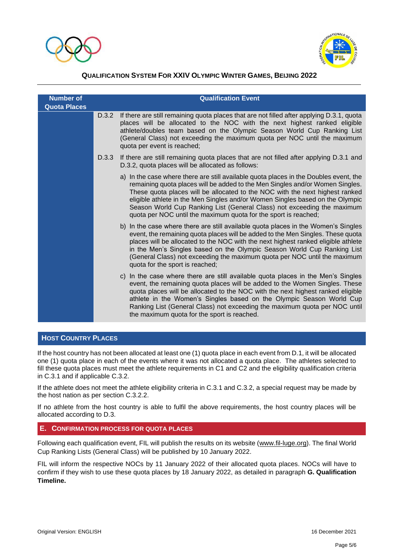



| <b>Number of</b><br><b>Quota Places</b> |       | <b>Qualification Event</b>                                                                                                                                                                                                                                                                                                                                                                                                                                                            |  |
|-----------------------------------------|-------|---------------------------------------------------------------------------------------------------------------------------------------------------------------------------------------------------------------------------------------------------------------------------------------------------------------------------------------------------------------------------------------------------------------------------------------------------------------------------------------|--|
|                                         | D.3.2 | If there are still remaining quota places that are not filled after applying D.3.1, quota<br>places will be allocated to the NOC with the next highest ranked eligible<br>athlete/doubles team based on the Olympic Season World Cup Ranking List<br>(General Class) not exceeding the maximum quota per NOC until the maximum<br>quota per event is reached;                                                                                                                         |  |
|                                         | D.3.3 | If there are still remaining quota places that are not filled after applying D.3.1 and<br>D.3.2, quota places will be allocated as follows:                                                                                                                                                                                                                                                                                                                                           |  |
|                                         |       | a) In the case where there are still available quota places in the Doubles event, the<br>remaining quota places will be added to the Men Singles and/or Women Singles.<br>These quota places will be allocated to the NOC with the next highest ranked<br>eligible athlete in the Men Singles and/or Women Singles based on the Olympic<br>Season World Cup Ranking List (General Class) not exceeding the maximum<br>quota per NOC until the maximum quota for the sport is reached; |  |
|                                         |       | b) In the case where there are still available quota places in the Women's Singles<br>event, the remaining quota places will be added to the Men Singles. These quota<br>places will be allocated to the NOC with the next highest ranked eligible athlete<br>in the Men's Singles based on the Olympic Season World Cup Ranking List<br>(General Class) not exceeding the maximum quota per NOC until the maximum<br>quota for the sport is reached;                                 |  |
|                                         |       | In the case where there are still available quota places in the Men's Singles<br>C)<br>event, the remaining quota places will be added to the Women Singles. These<br>quota places will be allocated to the NOC with the next highest ranked eligible<br>athlete in the Women's Singles based on the Olympic Season World Cup<br>Ranking List (General Class) not exceeding the maximum quota per NOC until<br>the maximum quota for the sport is reached.                            |  |

#### **HOST COUNTRY PLACES**

If the host country has not been allocated at least one (1) quota place in each event from D.1, it will be allocated one (1) quota place in each of the events where it was not allocated a quota place. The athletes selected to fill these quota places must meet the athlete requirements in C1 and C2 and the eligibility qualification criteria in C.3.1 and if applicable C.3.2.

If the athlete does not meet the athlete eligibility criteria in C.3.1 and C.3.2, a special request may be made by the host nation as per section C.3.2.2.

If no athlete from the host country is able to fulfil the above requirements, the host country places will be allocated according to D.3.

#### **E. CONFIRMATION PROCESS FOR QUOTA PLACES**

Following each qualification event, FIL will publish the results on its website [\(www.fil-luge.org\)](http://www.fil-luge.org/). The final World Cup Ranking Lists (General Class) will be published by 10 January 2022.

FIL will inform the respective NOCs by 11 January 2022 of their allocated quota places. NOCs will have to confirm if they wish to use these quota places by 18 January 2022, as detailed in paragraph **G. Qualification Timeline.**